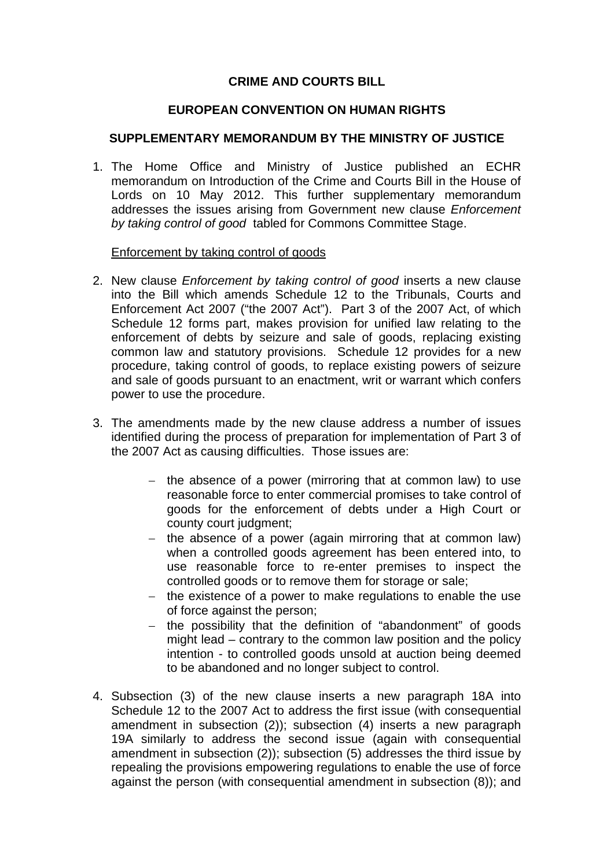## **CRIME AND COURTS BILL**

## **EUROPEAN CONVENTION ON HUMAN RIGHTS**

## **SUPPLEMENTARY MEMORANDUM BY THE MINISTRY OF JUSTICE**

1. The Home Office and Ministry of Justice published an ECHR memorandum on Introduction of the Crime and Courts Bill in the House of Lords on 10 May 2012. This further supplementary memorandum addresses the issues arising from Government new clause *Enforcement by taking control of good* tabled for Commons Committee Stage.

## Enforcement by taking control of goods

- 2. New clause *Enforcement by taking control of good* inserts a new clause into the Bill which amends Schedule 12 to the Tribunals, Courts and Enforcement Act 2007 ("the 2007 Act"). Part 3 of the 2007 Act, of which Schedule 12 forms part, makes provision for unified law relating to the enforcement of debts by seizure and sale of goods, replacing existing common law and statutory provisions. Schedule 12 provides for a new procedure, taking control of goods, to replace existing powers of seizure and sale of goods pursuant to an enactment, writ or warrant which confers power to use the procedure.
- 3. The amendments made by the new clause address a number of issues identified during the process of preparation for implementation of Part 3 of the 2007 Act as causing difficulties. Those issues are:
	- − the absence of a power (mirroring that at common law) to use reasonable force to enter commercial promises to take control of goods for the enforcement of debts under a High Court or county court judgment;
	- − the absence of a power (again mirroring that at common law) when a controlled goods agreement has been entered into, to use reasonable force to re-enter premises to inspect the controlled goods or to remove them for storage or sale;
	- − the existence of a power to make regulations to enable the use of force against the person;
	- − the possibility that the definition of "abandonment" of goods might lead – contrary to the common law position and the policy intention - to controlled goods unsold at auction being deemed to be abandoned and no longer subject to control.
- 4. Subsection (3) of the new clause inserts a new paragraph 18A into Schedule 12 to the 2007 Act to address the first issue (with consequential amendment in subsection (2)); subsection (4) inserts a new paragraph 19A similarly to address the second issue (again with consequential amendment in subsection (2)); subsection (5) addresses the third issue by repealing the provisions empowering regulations to enable the use of force against the person (with consequential amendment in subsection (8)); and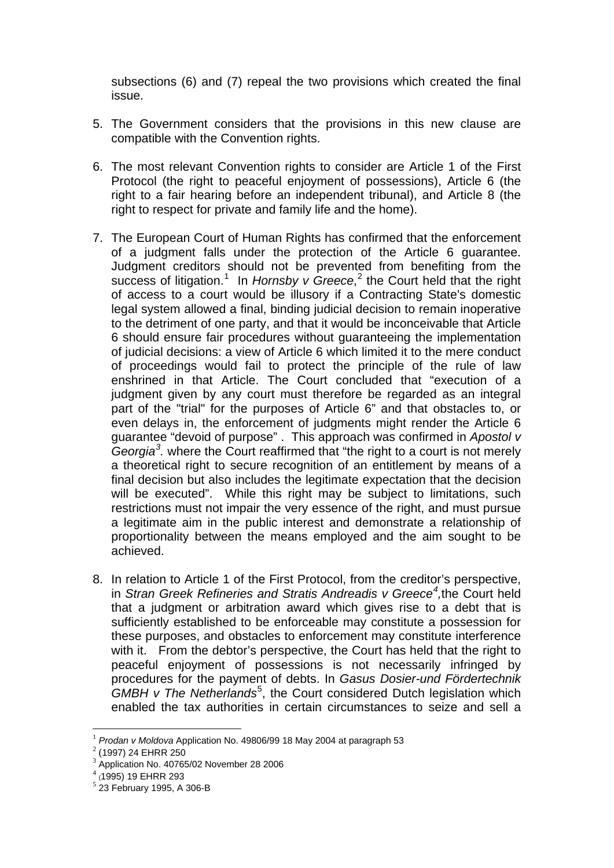subsections (6) and (7) repeal the two provisions which created the final issue.

- 5. The Government considers that the provisions in this new clause are compatible with the Convention rights.
- 6. The most relevant Convention rights to consider are Article 1 of the First Protocol (the right to peaceful enjoyment of possessions), Article 6 (the right to a fair hearing before an independent tribunal), and Article 8 (the right to respect for private and family life and the home).
- 7. The European Court of Human Rights has confirmed that the enforcement of a judgment falls under the protection of the Article 6 guarantee. Judgment creditors should not be prevented from benefiting from the success of litigation.<sup>[1](#page-1-0)</sup> In *Hornsby v Greece*,<sup>[2](#page-1-1)</sup> the Court held that the right of access to a court would be illusory if a Contracting State's domestic legal system allowed a final, binding judicial decision to remain inoperative to the detriment of one party, and that it would be inconceivable that Article 6 should ensure fair procedures without guaranteeing the implementation of judicial decisions: a view of Article 6 which limited it to the mere conduct of proceedings would fail to protect the principle of the rule of law enshrined in that Article. The Court concluded that "execution of a judgment given by any court must therefore be regarded as an integral part of the "trial" for the purposes of Article 6" and that obstacles to, or even delays in, the enforcement of judgments might render the Article 6 guarantee "devoid of purpose" . This approach was confirmed in *Apostol v Georgia[3](#page-1-2) .* where the Court reaffirmed that "the right to a court is not merely a theoretical right to secure recognition of an entitlement by means of a final decision but also includes the legitimate expectation that the decision will be executed". While this right may be subject to limitations, such restrictions must not impair the very essence of the right, and must pursue a legitimate aim in the public interest and demonstrate a relationship of proportionality between the means employed and the aim sought to be achieved.
- 8. In relation to Article 1 of the First Protocol, from the creditor's perspective, in *Stran Greek Refineries and Stratis Andreadis v Greece[4](#page-1-3) ,*the Court held that a judgment or arbitration award which gives rise to a debt that is sufficiently established to be enforceable may constitute a possession for these purposes, and obstacles to enforcement may constitute interference with it. From the debtor's perspective, the Court has held that the right to peaceful enjoyment of possessions is not necessarily infringed by procedures for the payment of debts. In *Gasus Dosier-und Fördertechnik*  GMBH v The Netherlands<sup>[5](#page-1-4)</sup>, the Court considered Dutch legislation which enabled the tax authorities in certain circumstances to seize and sell a

<span id="page-1-1"></span><span id="page-1-0"></span><sup>&</sup>lt;sup>1</sup> *Prodan v Moldova* Application No. 49806/99 18 May 2004 at paragraph 53 <br><sup>2</sup> (1997) 24 EHRR 250

 $3$  Application No. 40765/02 November 28 2006

<span id="page-1-4"></span><span id="page-1-3"></span><span id="page-1-2"></span> $^{4}$  (1995) 19 EHRR 293<br> $^{5}$  23 February 1995, A 306-B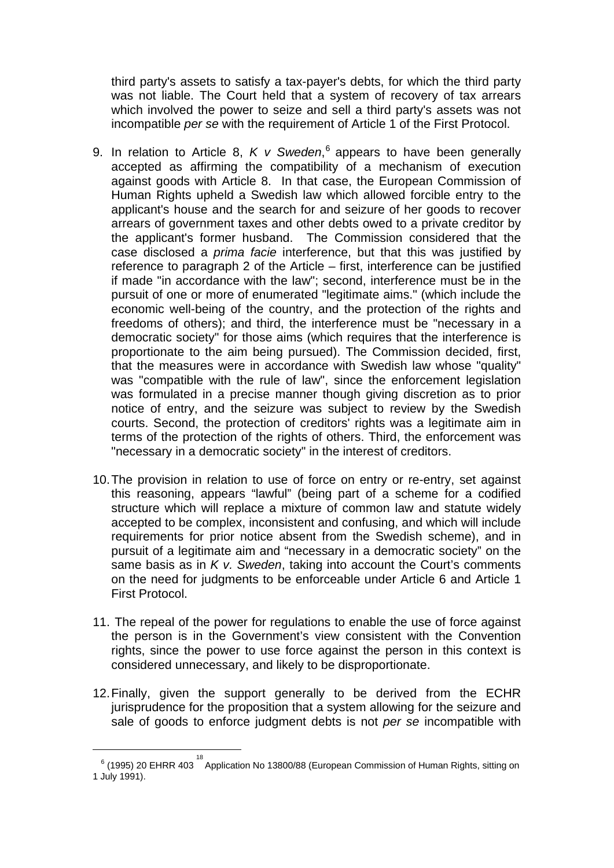third party's assets to satisfy a tax-payer's debts, for which the third party was not liable. The Court held that a system of recovery of tax arrears which involved the power to seize and sell a third party's assets was not incompatible *per se* with the requirement of Article 1 of the First Protocol.

- 9. In relation to Article 8, *K v Sweden*, [6](#page-2-0) appears to have been generally accepted as affirming the compatibility of a mechanism of execution against goods with Article 8. In that case, the European Commission of Human Rights upheld a Swedish law which allowed forcible entry to the applicant's house and the search for and seizure of her goods to recover arrears of government taxes and other debts owed to a private creditor by the applicant's former husband. The Commission considered that the case disclosed a *prima facie* interference, but that this was justified by reference to paragraph 2 of the Article – first, interference can be justified if made "in accordance with the law"; second, interference must be in the pursuit of one or more of enumerated "legitimate aims." (which include the economic well-being of the country, and the protection of the rights and freedoms of others); and third, the interference must be "necessary in a democratic society" for those aims (which requires that the interference is proportionate to the aim being pursued). The Commission decided, first, that the measures were in accordance with Swedish law whose "quality" was "compatible with the rule of law", since the enforcement legislation was formulated in a precise manner though giving discretion as to prior notice of entry, and the seizure was subject to review by the Swedish courts. Second, the protection of creditors' rights was a legitimate aim in terms of the protection of the rights of others. Third, the enforcement was "necessary in a democratic society" in the interest of creditors.
- 10.The provision in relation to use of force on entry or re-entry, set against this reasoning, appears "lawful" (being part of a scheme for a codified structure which will replace a mixture of common law and statute widely accepted to be complex, inconsistent and confusing, and which will include requirements for prior notice absent from the Swedish scheme), and in pursuit of a legitimate aim and "necessary in a democratic society" on the same basis as in *K v. Sweden*, taking into account the Court's comments on the need for judgments to be enforceable under Article 6 and Article 1 First Protocol.
- 11. The repeal of the power for regulations to enable the use of force against the person is in the Government's view consistent with the Convention rights, since the power to use force against the person in this context is considered unnecessary, and likely to be disproportionate.
- 12.Finally, given the support generally to be derived from the ECHR jurisprudence for the proposition that a system allowing for the seizure and sale of goods to enforce judgment debts is not *per se* incompatible with

<u>.</u>

<span id="page-2-0"></span> $^6$  (1995) 20 EHRR 403  $^{18}$  Application No 13800/88 (European Commission of Human Rights, sitting on 1 July 1991).